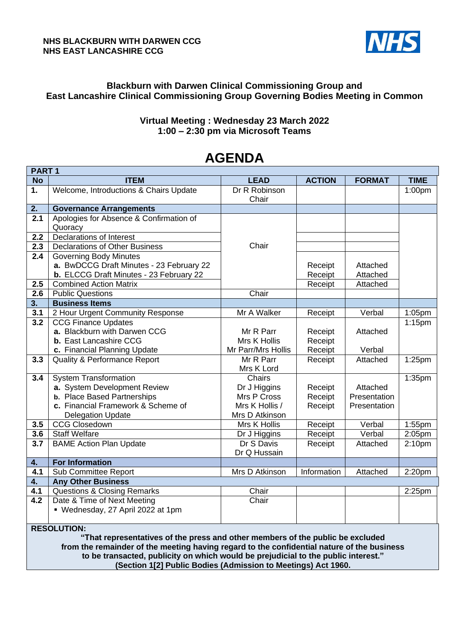#### **NHS BLACKBURN WITH DARWEN CCG NHS EAST LANCASHIRE CCG**



### **Blackburn with Darwen Clinical Commissioning Group and East Lancashire Clinical Commissioning Group Governing Bodies Meeting in Common**

### **Virtual Meeting : Wednesday 23 March 2022 1:00 – 2:30 pm via Microsoft Teams**

# **AGENDA**

| PART <sub>1</sub> |                                          |                    |               |               |                      |  |
|-------------------|------------------------------------------|--------------------|---------------|---------------|----------------------|--|
| <b>No</b>         | <b>ITEM</b>                              | <b>LEAD</b>        | <b>ACTION</b> | <b>FORMAT</b> | <b>TIME</b>          |  |
| 1.                | Welcome, Introductions & Chairs Update   | Dr R Robinson      |               |               | 1:00pm               |  |
|                   |                                          | Chair              |               |               |                      |  |
| 2.                | <b>Governance Arrangements</b>           |                    |               |               |                      |  |
| $\overline{2.1}$  | Apologies for Absence & Confirmation of  |                    |               |               |                      |  |
|                   | Quoracy                                  |                    |               |               |                      |  |
| 2.2               | <b>Declarations of Interest</b>          |                    |               |               |                      |  |
| $\overline{2.3}$  | <b>Declarations of Other Business</b>    | Chair              |               |               |                      |  |
| 2.4               | <b>Governing Body Minutes</b>            |                    |               |               |                      |  |
|                   | a. BwDCCG Draft Minutes - 23 February 22 |                    | Receipt       | Attached      |                      |  |
|                   | b. ELCCG Draft Minutes - 23 February 22  |                    | Receipt       | Attached      |                      |  |
| 2.5               | <b>Combined Action Matrix</b>            |                    | Receipt       | Attached      |                      |  |
| $2.\overline{6}$  | <b>Public Questions</b>                  | Chair              |               |               |                      |  |
| 3 <sub>1</sub>    | <b>Business Items</b>                    |                    |               |               |                      |  |
| 3.1               | 2 Hour Urgent Community Response         | Mr A Walker        | Receipt       | Verbal        | 1:05pm               |  |
| 3.2               | <b>CCG Finance Updates</b>               |                    |               |               | $1:15$ pm            |  |
|                   | a. Blackburn with Darwen CCG             | Mr R Parr          | Receipt       | Attached      |                      |  |
|                   | <b>b.</b> East Lancashire CCG            | Mrs K Hollis       | Receipt       |               |                      |  |
|                   | c. Financial Planning Update             | Mr Parr/Mrs Hollis | Receipt       | Verbal        |                      |  |
| 3.3               | <b>Quality &amp; Performance Report</b>  | Mr R Parr          | Receipt       | Attached      | 1:25pm               |  |
|                   |                                          | Mrs K Lord         |               |               |                      |  |
| 3.4               | <b>System Transformation</b>             | Chairs             |               |               | $\overline{1:}35$ pm |  |
|                   | a. System Development Review             | Dr J Higgins       | Receipt       | Attached      |                      |  |
|                   | <b>b.</b> Place Based Partnerships       | Mrs P Cross        | Receipt       | Presentation  |                      |  |
|                   | c. Financial Framework & Scheme of       | Mrs K Hollis /     | Receipt       | Presentation  |                      |  |
|                   | <b>Delegation Update</b>                 | Mrs D Atkinson     |               |               |                      |  |
| 3.5               | <b>CCG Closedown</b>                     | Mrs K Hollis       | Receipt       | Verbal        | 1:55pm               |  |
| 3.6               | <b>Staff Welfare</b>                     | Dr J Higgins       | Receipt       | Verbal        | 2:05pm               |  |
| 3.7               | <b>BAME Action Plan Update</b>           | Dr S Davis         | Receipt       | Attached      | 2:10 <sub>pm</sub>   |  |
|                   |                                          | Dr Q Hussain       |               |               |                      |  |
| 4.                | <b>For Information</b>                   |                    |               |               |                      |  |
| 4.1               | Sub Committee Report                     | Mrs D Atkinson     | Information   | Attached      | 2:20pm               |  |
| 4.                | <b>Any Other Business</b>                |                    |               |               |                      |  |
| 4.1               | <b>Questions &amp; Closing Remarks</b>   | Chair              |               |               | 2:25pm               |  |
| $\overline{4.2}$  | Date & Time of Next Meeting              | Chair              |               |               |                      |  |
|                   | • Wednesday, 27 April 2022 at 1pm        |                    |               |               |                      |  |
|                   |                                          |                    |               |               |                      |  |

**RESOLUTION:**

**"That representatives of the press and other members of the public be excluded from the remainder of the meeting having regard to the confidential nature of the business to be transacted, publicity on which would be prejudicial to the public interest." (Section 1[2] Public Bodies (Admission to Meetings) Act 1960.**